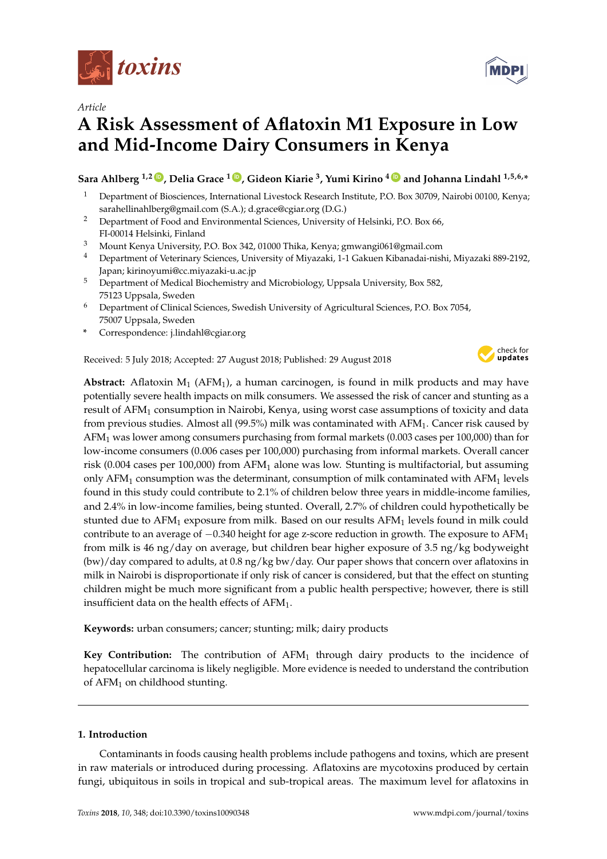

*Article*

# **A Risk Assessment of Aflatoxin M1 Exposure in Low and Mid-Income Dairy Consumers in Kenya**

**Sara Ahlberg 1,2 [ID](https://orcid.org/0000-0002-5824-5268) , Delia Grace <sup>1</sup> [ID](https://orcid.org/0000-0002-0195-9489) , Gideon Kiarie <sup>3</sup> , Yumi Kirino <sup>4</sup> [ID](https://orcid.org/0000-0003-0540-3506) and Johanna Lindahl 1,5,6,\***

- <sup>1</sup> Department of Biosciences, International Livestock Research Institute, P.O. Box 30709, Nairobi 00100, Kenya; sarahellinahlberg@gmail.com (S.A.); d.grace@cgiar.org (D.G.)
- <sup>2</sup> Department of Food and Environmental Sciences, University of Helsinki, P.O. Box 66, FI-00014 Helsinki, Finland
- <sup>3</sup> Mount Kenya University, P.O. Box 342, 01000 Thika, Kenya; gmwangi061@gmail.com
- <sup>4</sup> Department of Veterinary Sciences, University of Miyazaki, 1-1 Gakuen Kibanadai-nishi, Miyazaki 889-2192, Japan; kirinoyumi@cc.miyazaki-u.ac.jp
- <sup>5</sup> Department of Medical Biochemistry and Microbiology, Uppsala University, Box 582, 75123 Uppsala, Sweden
- <sup>6</sup> Department of Clinical Sciences, Swedish University of Agricultural Sciences, P.O. Box 7054, 75007 Uppsala, Sweden
- **\*** Correspondence: j.lindahl@cgiar.org

Received: 5 July 2018; Accepted: 27 August 2018; Published: 29 August 2018



**Abstract:** Aflatoxin  $M_1$  (AFM<sub>1</sub>), a human carcinogen, is found in milk products and may have potentially severe health impacts on milk consumers. We assessed the risk of cancer and stunting as a result of AFM<sub>1</sub> consumption in Nairobi, Kenya, using worst case assumptions of toxicity and data from previous studies. Almost all (99.5%) milk was contaminated with AFM1. Cancer risk caused by  $AFM<sub>1</sub>$  was lower among consumers purchasing from formal markets (0.003 cases per 100,000) than for low-income consumers (0.006 cases per 100,000) purchasing from informal markets. Overall cancer risk (0.004 cases per 100,000) from AFM<sub>1</sub> alone was low. Stunting is multifactorial, but assuming only AFM<sub>1</sub> consumption was the determinant, consumption of milk contaminated with AFM<sub>1</sub> levels found in this study could contribute to 2.1% of children below three years in middle-income families, and 2.4% in low-income families, being stunted. Overall, 2.7% of children could hypothetically be stunted due to AFM<sub>1</sub> exposure from milk. Based on our results AFM<sub>1</sub> levels found in milk could contribute to an average of -0.340 height for age z-score reduction in growth. The exposure to AFM<sub>1</sub> from milk is 46 ng/day on average, but children bear higher exposure of 3.5 ng/kg bodyweight (bw)/day compared to adults, at 0.8 ng/kg bw/day. Our paper shows that concern over aflatoxins in milk in Nairobi is disproportionate if only risk of cancer is considered, but that the effect on stunting children might be much more significant from a public health perspective; however, there is still insufficient data on the health effects of  $AFM<sub>1</sub>$ .

**Keywords:** urban consumers; cancer; stunting; milk; dairy products

**Key Contribution:** The contribution of  $AFM<sub>1</sub>$  through dairy products to the incidence of hepatocellular carcinoma is likely negligible. More evidence is needed to understand the contribution of  $AFM<sub>1</sub>$  on childhood stunting.

# **1. Introduction**

Contaminants in foods causing health problems include pathogens and toxins, which are present in raw materials or introduced during processing. Aflatoxins are mycotoxins produced by certain fungi, ubiquitous in soils in tropical and sub-tropical areas. The maximum level for aflatoxins in

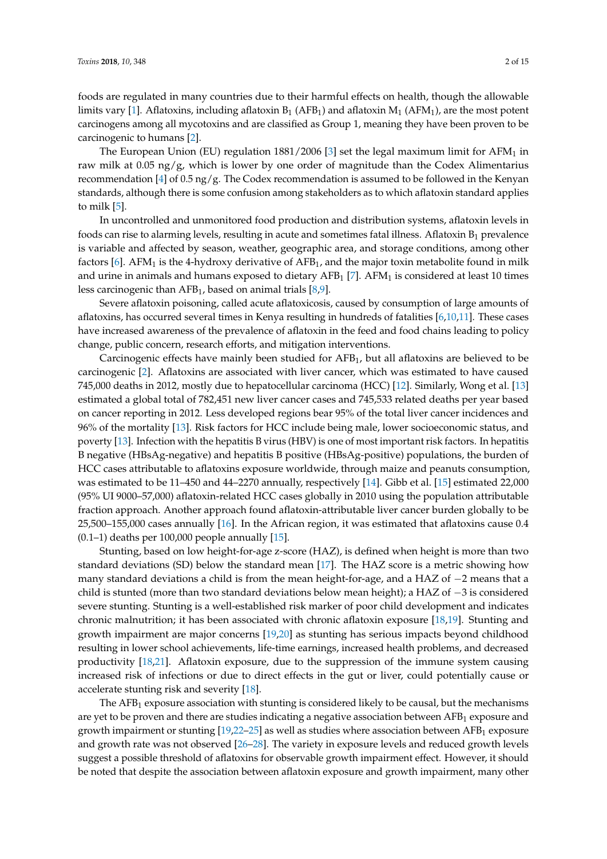The European Union (EU) regulation  $1881/2006$  [\[3\]](#page-11-2) set the legal maximum limit for AFM<sub>1</sub> in raw milk at 0.05 ng/g, which is lower by one order of magnitude than the Codex Alimentarius recommendation [\[4\]](#page-11-3) of 0.5 ng/g. The Codex recommendation is assumed to be followed in the Kenyan standards, although there is some confusion among stakeholders as to which aflatoxin standard applies to milk [\[5\]](#page-11-4).

In uncontrolled and unmonitored food production and distribution systems, aflatoxin levels in foods can rise to alarming levels, resulting in acute and sometimes fatal illness. Aflatoxin  $B_1$  prevalence is variable and affected by season, weather, geographic area, and storage conditions, among other factors  $[6]$ . AFM<sub>1</sub> is the 4-hydroxy derivative of AFB<sub>1</sub>, and the major toxin metabolite found in milk and urine in animals and humans exposed to dietary  $AFB<sub>1</sub>$  [\[7\]](#page-11-6). AFM<sub>1</sub> is considered at least 10 times less carcinogenic than AFB1, based on animal trials [\[8](#page-11-7)[,9\]](#page-11-8).

Severe aflatoxin poisoning, called acute aflatoxicosis, caused by consumption of large amounts of aflatoxins, has occurred several times in Kenya resulting in hundreds of fatalities [\[6](#page-11-5)[,10](#page-11-9)[,11\]](#page-11-10). These cases have increased awareness of the prevalence of aflatoxin in the feed and food chains leading to policy change, public concern, research efforts, and mitigation interventions.

Carcinogenic effects have mainly been studied for  $AFB<sub>1</sub>$ , but all aflatoxins are believed to be carcinogenic [\[2\]](#page-11-1). Aflatoxins are associated with liver cancer, which was estimated to have caused 745,000 deaths in 2012, mostly due to hepatocellular carcinoma (HCC) [\[12\]](#page-11-11). Similarly, Wong et al. [\[13\]](#page-11-12) estimated a global total of 782,451 new liver cancer cases and 745,533 related deaths per year based on cancer reporting in 2012. Less developed regions bear 95% of the total liver cancer incidences and 96% of the mortality [\[13\]](#page-11-12). Risk factors for HCC include being male, lower socioeconomic status, and poverty [\[13\]](#page-11-12). Infection with the hepatitis B virus (HBV) is one of most important risk factors. In hepatitis B negative (HBsAg-negative) and hepatitis B positive (HBsAg-positive) populations, the burden of HCC cases attributable to aflatoxins exposure worldwide, through maize and peanuts consumption, was estimated to be 11–450 and 44–2270 annually, respectively [\[14\]](#page-11-13). Gibb et al. [\[15\]](#page-11-14) estimated 22,000 (95% UI 9000–57,000) aflatoxin-related HCC cases globally in 2010 using the population attributable fraction approach. Another approach found aflatoxin-attributable liver cancer burden globally to be 25,500–155,000 cases annually [\[16\]](#page-11-15). In the African region, it was estimated that aflatoxins cause 0.4 (0.1–1) deaths per 100,000 people annually  $[15]$ .

Stunting, based on low height-for-age z-score (HAZ), is defined when height is more than two standard deviations (SD) below the standard mean [\[17\]](#page-12-0). The HAZ score is a metric showing how many standard deviations a child is from the mean height-for-age, and a HAZ of −2 means that a child is stunted (more than two standard deviations below mean height); a HAZ of −3 is considered severe stunting. Stunting is a well-established risk marker of poor child development and indicates chronic malnutrition; it has been associated with chronic aflatoxin exposure [\[18,](#page-12-1)[19\]](#page-12-2). Stunting and growth impairment are major concerns [\[19,](#page-12-2)[20\]](#page-12-3) as stunting has serious impacts beyond childhood resulting in lower school achievements, life-time earnings, increased health problems, and decreased productivity [\[18,](#page-12-1)[21\]](#page-12-4). Aflatoxin exposure, due to the suppression of the immune system causing increased risk of infections or due to direct effects in the gut or liver, could potentially cause or accelerate stunting risk and severity [\[18\]](#page-12-1).

The AFB<sub>1</sub> exposure association with stunting is considered likely to be causal, but the mechanisms are yet to be proven and there are studies indicating a negative association between AFB<sub>1</sub> exposure and growth impairment or stunting  $[19,22-25]$  $[19,22-25]$  $[19,22-25]$  as well as studies where association between AFB<sub>1</sub> exposure and growth rate was not observed [\[26](#page-12-7)[–28\]](#page-12-8). The variety in exposure levels and reduced growth levels suggest a possible threshold of aflatoxins for observable growth impairment effect. However, it should be noted that despite the association between aflatoxin exposure and growth impairment, many other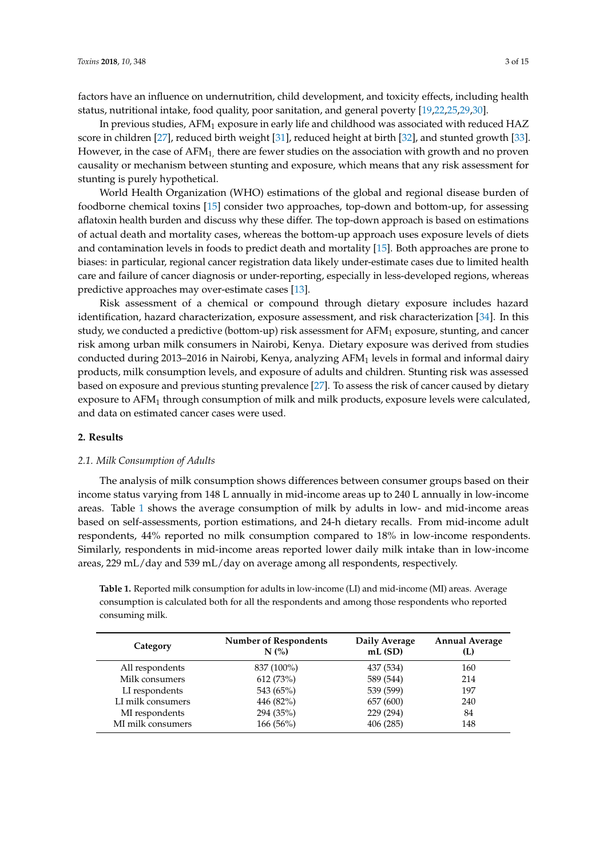factors have an influence on undernutrition, child development, and toxicity effects, including health status, nutritional intake, food quality, poor sanitation, and general poverty [\[19,](#page-12-2)[22](#page-12-5)[,25,](#page-12-6)[29,](#page-12-9)[30\]](#page-12-10).

In previous studies,  $AFM_1$  exposure in early life and childhood was associated with reduced  $HAZ$ score in children [\[27\]](#page-12-11), reduced birth weight [\[31\]](#page-12-12), reduced height at birth [\[32\]](#page-12-13), and stunted growth [\[33\]](#page-12-14). However, in the case of  $AFM<sub>1</sub>$ , there are fewer studies on the association with growth and no proven causality or mechanism between stunting and exposure, which means that any risk assessment for stunting is purely hypothetical.

World Health Organization (WHO) estimations of the global and regional disease burden of foodborne chemical toxins [\[15\]](#page-11-14) consider two approaches, top-down and bottom-up, for assessing aflatoxin health burden and discuss why these differ. The top-down approach is based on estimations of actual death and mortality cases, whereas the bottom-up approach uses exposure levels of diets and contamination levels in foods to predict death and mortality [\[15\]](#page-11-14). Both approaches are prone to biases: in particular, regional cancer registration data likely under-estimate cases due to limited health care and failure of cancer diagnosis or under-reporting, especially in less-developed regions, whereas predictive approaches may over-estimate cases [\[13\]](#page-11-12).

Risk assessment of a chemical or compound through dietary exposure includes hazard identification, hazard characterization, exposure assessment, and risk characterization [\[34\]](#page-12-15). In this study, we conducted a predictive (bottom-up) risk assessment for AFM<sup>1</sup> exposure, stunting, and cancer risk among urban milk consumers in Nairobi, Kenya. Dietary exposure was derived from studies conducted during 2013–2016 in Nairobi, Kenya, analyzing  $AFM<sub>1</sub>$  levels in formal and informal dairy products, milk consumption levels, and exposure of adults and children. Stunting risk was assessed based on exposure and previous stunting prevalence [\[27\]](#page-12-11). To assess the risk of cancer caused by dietary exposure to AFM<sup>1</sup> through consumption of milk and milk products, exposure levels were calculated, and data on estimated cancer cases were used.

#### **2. Results**

## *2.1. Milk Consumption of Adults*

The analysis of milk consumption shows differences between consumer groups based on their income status varying from 148 L annually in mid-income areas up to 240 L annually in low-income areas. Table [1](#page-2-0) shows the average consumption of milk by adults in low- and mid-income areas based on self-assessments, portion estimations, and 24-h dietary recalls. From mid-income adult respondents, 44% reported no milk consumption compared to 18% in low-income respondents. Similarly, respondents in mid-income areas reported lower daily milk intake than in low-income areas, 229 mL/day and 539 mL/day on average among all respondents, respectively.

<span id="page-2-0"></span>**Table 1.** Reported milk consumption for adults in low-income (LI) and mid-income (MI) areas. Average consumption is calculated both for all the respondents and among those respondents who reported consuming milk.

| Category          | <b>Number of Respondents</b><br>N(%) | Daily Average<br>mL(SD) | <b>Annual Average</b><br>(L) |
|-------------------|--------------------------------------|-------------------------|------------------------------|
| All respondents   | 837 (100%)                           | 437 (534)               | 160                          |
| Milk consumers    | 612 (73%)                            | 589 (544)               | 214                          |
| LI respondents    | 543 (65%)                            | 539 (599)               | 197                          |
| LI milk consumers | 446 (82%)                            | 657 (600)               | 240                          |
| MI respondents    | 294 (35%)                            | 229 (294)               | 84                           |
| MI milk consumers | 166(56%)                             | 406 (285)               | 148                          |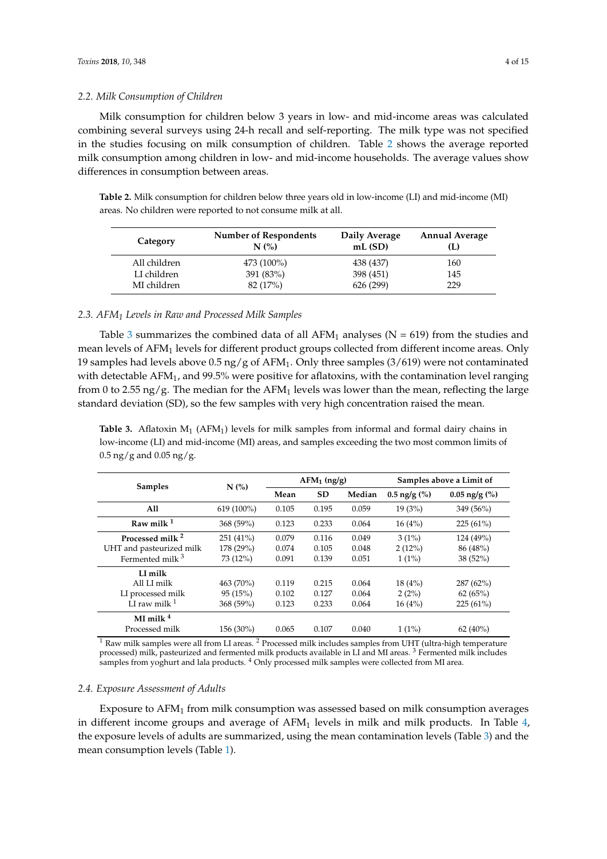## *2.2. Milk Consumption of Children*

Milk consumption for children below 3 years in low- and mid-income areas was calculated combining several surveys using 24-h recall and self-reporting. The milk type was not specified in the studies focusing on milk consumption of children. Table [2](#page-3-0) shows the average reported milk consumption among children in low- and mid-income households. The average values show differences in consumption between areas.

<span id="page-3-0"></span>**Table 2.** Milk consumption for children below three years old in low-income (LI) and mid-income (MI) areas. No children were reported to not consume milk at all.

| Category     | <b>Number of Respondents</b><br>N(% | Daily Average<br>mL(SD) | <b>Annual Average</b><br>(L) |
|--------------|-------------------------------------|-------------------------|------------------------------|
| All children | 473 (100%)                          | 438 (437)               | 160                          |
| LI children  | 391 (83%)                           | 398 (451)               | 145                          |
| MI children  | 82 (17%)                            | 626 (299)               | 229                          |

# *2.3. AFM<sup>1</sup> Levels in Raw and Processed Milk Samples*

Table [3](#page-3-1) summarizes the combined data of all  $AFM_1$  analyses (N = 619) from the studies and mean levels of AFM<sup>1</sup> levels for different product groups collected from different income areas. Only 19 samples had levels above 0.5 ng/g of AFM1. Only three samples (3/619) were not contaminated with detectable  $AFM<sub>1</sub>$ , and 99.5% were positive for aflatoxins, with the contamination level ranging from 0 to 2.55 ng/g. The median for the AFM<sub>1</sub> levels was lower than the mean, reflecting the large standard deviation (SD), so the few samples with very high concentration raised the mean.

<span id="page-3-1"></span>**Table 3.** Aflatoxin  $M_1$  (AFM<sub>1</sub>) levels for milk samples from informal and formal dairy chains in low-income (LI) and mid-income (MI) areas, and samples exceeding the two most common limits of  $0.5 \,\text{ng/g}$  and  $0.05 \,\text{ng/g}$ .

| <b>Samples</b>              | N(%)       | $AFM_1$ (ng/g) |           | Samples above a Limit of |                           |                         |
|-----------------------------|------------|----------------|-----------|--------------------------|---------------------------|-------------------------|
|                             |            | Mean           | <b>SD</b> | Median                   | $0.5 \text{ ng/g } (\% )$ | $0.05 \text{ ng/g}$ (%) |
| All                         | 619 (100%) | 0.105          | 0.195     | 0.059                    | 19(3%)                    | 349 (56%)               |
| Raw milk $1$                | 368 (59%)  | 0.123          | 0.233     | 0.064                    | 16(4%)                    | $225(61\%)$             |
| Processed milk <sup>2</sup> | 251 (41%)  | 0.079          | 0.116     | 0.049                    | $3(1\%)$                  | 124 (49%)               |
| UHT and pasteurized milk    | 178 (29%)  | 0.074          | 0.105     | 0.048                    | 2(12%)                    | 86 (48%)                |
| Fermented milk <sup>3</sup> | 73 (12%)   | 0.091          | 0.139     | 0.051                    | $1(1\%)$                  | 38 (52%)                |
| LI milk                     |            |                |           |                          |                           |                         |
| All LI milk                 | 463 (70%)  | 0.119          | 0.215     | 0.064                    | 18(4%)                    | $287(62\%)$             |
| LI processed milk           | 95(15%)    | 0.102          | 0.127     | 0.064                    | 2(2%)                     | 62(65%)                 |
| LI raw milk $1$             | 368 (59%)  | 0.123          | 0.233     | 0.064                    | 16(4%)                    | $225(61\%)$             |
| MI milk $4$                 |            |                |           |                          |                           |                         |
| Processed milk              | 156 (30%)  | 0.065          | 0.107     | 0.040                    | $1(1\%)$                  | $62(40\%)$              |

 $1$  Raw milk samples were all from LI areas.  $2$  Processed milk includes samples from UHT (ultra-high temperature processed) milk, pasteurized and fermented milk products available in LI and MI areas. <sup>3</sup> Fermented milk includes samples from yoghurt and lala products.<sup>4</sup> Only processed milk samples were collected from MI area.

## *2.4. Exposure Assessment of Adults*

Exposure to AFM<sup>1</sup> from milk consumption was assessed based on milk consumption averages in different income groups and average of  $AFM<sub>1</sub>$  levels in milk and milk products. In Table [4,](#page-4-0) the exposure levels of adults are summarized, using the mean contamination levels (Table [3\)](#page-3-1) and the mean consumption levels (Table [1\)](#page-2-0).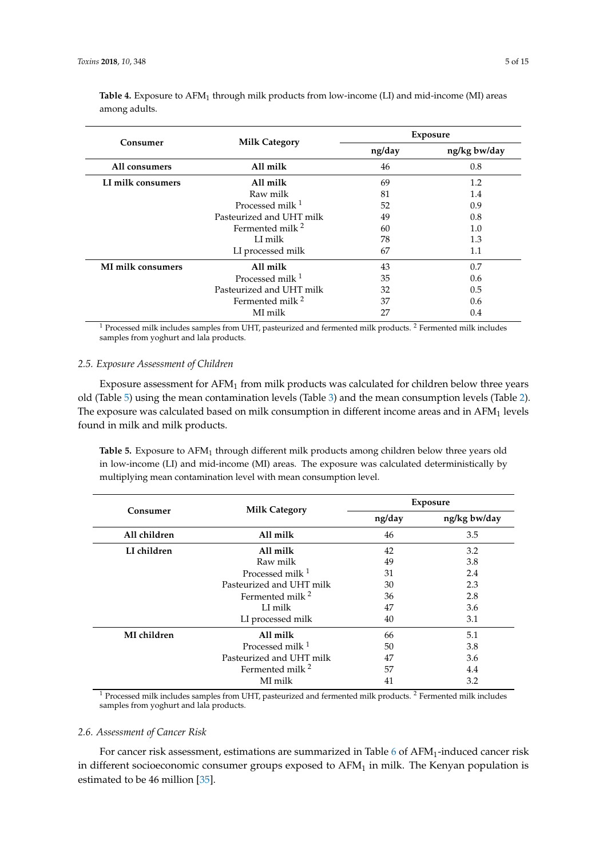| Consumer          | <b>Milk Category</b>        | <b>Exposure</b> |              |  |
|-------------------|-----------------------------|-----------------|--------------|--|
|                   |                             | ng/day          | ng/kg bw/day |  |
| All consumers     | All milk                    | 46              | 0.8          |  |
| LI milk consumers | All milk                    | 69              | 1.2          |  |
|                   | Raw milk                    | 81              | 1.4          |  |
|                   | Processed milk $1$          | 52              | 0.9          |  |
|                   | Pasteurized and UHT milk    | 49              | 0.8          |  |
|                   | Fermented milk $^2$         | 60              | 1.0          |  |
|                   | LI milk                     | 78              | 1.3          |  |
|                   | LI processed milk           | 67              | 1.1          |  |
| MI milk consumers | All milk                    | 43              | 0.7          |  |
|                   | Processed milk <sup>1</sup> | 35              | 0.6          |  |
|                   | Pasteurized and UHT milk    | 32              | 0.5          |  |
|                   | Fermented milk $^2$         | 37              | 0.6          |  |
|                   | MI milk                     | 27              | 0.4          |  |

<span id="page-4-0"></span>**Table 4.** Exposure to AFM<sub>1</sub> through milk products from low-income (LI) and mid-income (MI) areas among adults.

 $1$  Processed milk includes samples from UHT, pasteurized and fermented milk products.  $2$  Fermented milk includes samples from yoghurt and lala products.

## *2.5. Exposure Assessment of Children*

Exposure assessment for  $AFM<sub>1</sub>$  from milk products was calculated for children below three years old (Table [5\)](#page-4-1) using the mean contamination levels (Table [3\)](#page-3-1) and the mean consumption levels (Table [2\)](#page-3-0). The exposure was calculated based on milk consumption in different income areas and in AFM<sub>1</sub> levels found in milk and milk products.

<span id="page-4-1"></span>**Table 5.** Exposure to  $\text{AFM}_1$  through different milk products among children below three years old in low-income (LI) and mid-income (MI) areas. The exposure was calculated deterministically by multiplying mean contamination level with mean consumption level.

| Consumer     |                             | <b>Exposure</b> |              |  |
|--------------|-----------------------------|-----------------|--------------|--|
|              | <b>Milk Category</b>        | ng/day          | ng/kg bw/day |  |
| All children | All milk                    | 46              | 3.5          |  |
| LI children  | All milk                    | 42              | 3.2          |  |
|              | Raw milk                    | 49              | 3.8          |  |
|              | Processed milk $1$          | 31              | 2.4          |  |
|              | Pasteurized and UHT milk    | 30              | 2.3          |  |
|              | Fermented milk <sup>2</sup> | 36              | 2.8          |  |
|              | LI milk                     | 47              | 3.6          |  |
|              | LI processed milk           | 40              | 3.1          |  |
| MI children  | All milk                    | 66              | 5.1          |  |
|              | Processed milk $1$          | 50              | 3.8          |  |
|              | Pasteurized and UHT milk    | 47              | 3.6          |  |
|              | Fermented milk $^2$         | 57              | 4.4          |  |
|              | MI milk                     | 41              | 3.2          |  |

 $1$  Processed milk includes samples from UHT, pasteurized and fermented milk products.  $2$  Fermented milk includes samples from yoghurt and lala products.

#### *2.6. Assessment of Cancer Risk*

For cancer risk assessment, estimations are summarized in Table [6](#page-5-0) of AFM<sub>1</sub>-induced cancer risk in different socioeconomic consumer groups exposed to  $AFM<sub>1</sub>$  in milk. The Kenyan population is estimated to be 46 million [\[35\]](#page-12-16).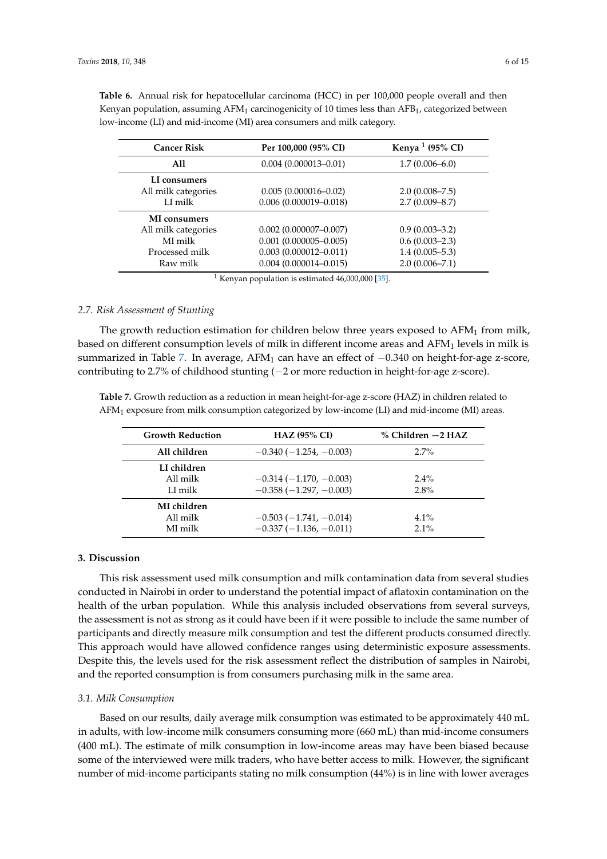| <b>Cancer Risk</b>  | Per 100,000 (95% CI)      | Kenya <sup>1</sup> (95% CI) |
|---------------------|---------------------------|-----------------------------|
| A11                 | $0.004(0.000013 - 0.01)$  | $1.7(0.006 - 6.0)$          |
| LI consumers        |                           |                             |
| All milk categories | $0.005(0.000016 - 0.02)$  | $2.0(0.008 - 7.5)$          |
| LI milk             | $0.006(0.000019 - 0.018)$ | $2.7(0.009 - 8.7)$          |
| <b>MI</b> consumers |                           |                             |
| All milk categories | $0.002$ (0.000007-0.007)  | $0.9(0.003 - 3.2)$          |
| MI milk             | $0.001$ (0.000005-0.005)  | $0.6(0.003 - 2.3)$          |
| Processed milk      | $0.003(0.000012 - 0.011)$ | $1.4(0.005 - 5.3)$          |
| Raw milk            | $0.004(0.000014 - 0.015)$ | $2.0(0.006 - 7.1)$          |

<span id="page-5-0"></span>**Table 6.** Annual risk for hepatocellular carcinoma (HCC) in per 100,000 people overall and then Kenyan population, assuming AFM<sub>1</sub> carcinogenicity of 10 times less than AFB<sub>1</sub>, categorized between low-income (LI) and mid-income (MI) area consumers and milk category.

<sup>1</sup> Kenyan population is estimated  $46,000,000$  [\[35\]](#page-12-16).

## *2.7. Risk Assessment of Stunting*

The growth reduction estimation for children below three years exposed to  $AFM<sub>1</sub>$  from milk, based on different consumption levels of milk in different income areas and AFM<sub>1</sub> levels in milk is summarized in Table [7.](#page-5-1) In average, AFM<sub>1</sub> can have an effect of  $-0.340$  on height-for-age z-score, contributing to 2.7% of childhood stunting (−2 or more reduction in height-for-age z-score).

<span id="page-5-1"></span>**Table 7.** Growth reduction as a reduction in mean height-for-age z-score (HAZ) in children related to  $AFM<sub>1</sub>$  exposure from milk consumption categorized by low-income (LI) and mid-income (MI) areas.

| <b>Growth Reduction</b>            | <b>HAZ (95% CI)</b>                                 | $%$ Children $-2$ HAZ |
|------------------------------------|-----------------------------------------------------|-----------------------|
| All children                       | $-0.340(-1.254, -0.003)$                            | $2.7\%$               |
| LI children<br>All milk<br>LI milk | $-0.314(-1.170,-0.003)$<br>$-0.358(-1.297,-0.003)$  | $2.4\%$<br>2.8%       |
| MI children<br>All milk<br>MI milk | $-0.503(-1.741,-0.014)$<br>$-0.337(-1.136, -0.011)$ | $4.1\%$<br>$2.1\%$    |

## **3. Discussion**

This risk assessment used milk consumption and milk contamination data from several studies conducted in Nairobi in order to understand the potential impact of aflatoxin contamination on the health of the urban population. While this analysis included observations from several surveys, the assessment is not as strong as it could have been if it were possible to include the same number of participants and directly measure milk consumption and test the different products consumed directly. This approach would have allowed confidence ranges using deterministic exposure assessments. Despite this, the levels used for the risk assessment reflect the distribution of samples in Nairobi, and the reported consumption is from consumers purchasing milk in the same area.

## *3.1. Milk Consumption*

Based on our results, daily average milk consumption was estimated to be approximately 440 mL in adults, with low-income milk consumers consuming more (660 mL) than mid-income consumers (400 mL). The estimate of milk consumption in low-income areas may have been biased because some of the interviewed were milk traders, who have better access to milk. However, the significant number of mid-income participants stating no milk consumption (44%) is in line with lower averages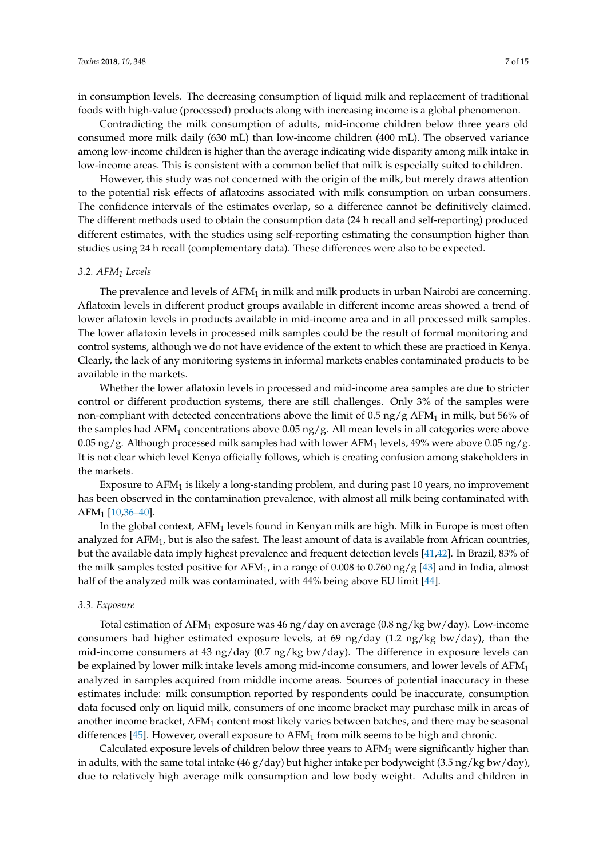in consumption levels. The decreasing consumption of liquid milk and replacement of traditional foods with high-value (processed) products along with increasing income is a global phenomenon.

Contradicting the milk consumption of adults, mid-income children below three years old consumed more milk daily (630 mL) than low-income children (400 mL). The observed variance among low-income children is higher than the average indicating wide disparity among milk intake in low-income areas. This is consistent with a common belief that milk is especially suited to children.

However, this study was not concerned with the origin of the milk, but merely draws attention to the potential risk effects of aflatoxins associated with milk consumption on urban consumers. The confidence intervals of the estimates overlap, so a difference cannot be definitively claimed. The different methods used to obtain the consumption data (24 h recall and self-reporting) produced different estimates, with the studies using self-reporting estimating the consumption higher than studies using 24 h recall (complementary data). These differences were also to be expected.

## *3.2. AFM<sup>1</sup> Levels*

The prevalence and levels of  $AFM<sub>1</sub>$  in milk and milk products in urban Nairobi are concerning. Aflatoxin levels in different product groups available in different income areas showed a trend of lower aflatoxin levels in products available in mid-income area and in all processed milk samples. The lower aflatoxin levels in processed milk samples could be the result of formal monitoring and control systems, although we do not have evidence of the extent to which these are practiced in Kenya. Clearly, the lack of any monitoring systems in informal markets enables contaminated products to be available in the markets.

Whether the lower aflatoxin levels in processed and mid-income area samples are due to stricter control or different production systems, there are still challenges. Only 3% of the samples were non-compliant with detected concentrations above the limit of 0.5 ng/g  $AFM<sub>1</sub>$  in milk, but 56% of the samples had  $AFM<sub>1</sub>$  concentrations above 0.05 ng/g. All mean levels in all categories were above 0.05 ng/g. Although processed milk samples had with lower AFM<sub>1</sub> levels, 49% were above 0.05 ng/g. It is not clear which level Kenya officially follows, which is creating confusion among stakeholders in the markets.

Exposure to  $AFM<sub>1</sub>$  is likely a long-standing problem, and during past 10 years, no improvement has been observed in the contamination prevalence, with almost all milk being contaminated with  $AFM_1$  [\[10](#page-11-9)[,36](#page-12-17)[–40\]](#page-13-0).

In the global context,  $AFM<sub>1</sub>$  levels found in Kenyan milk are high. Milk in Europe is most often analyzed for AFM<sub>1</sub>, but is also the safest. The least amount of data is available from African countries, but the available data imply highest prevalence and frequent detection levels [\[41](#page-13-1)[,42\]](#page-13-2). In Brazil, 83% of the milk samples tested positive for AFM<sub>1</sub>, in a range of 0.008 to 0.760 ng/g [\[43\]](#page-13-3) and in India, almost half of the analyzed milk was contaminated, with 44% being above EU limit [\[44\]](#page-13-4).

## *3.3. Exposure*

Total estimation of AFM<sub>1</sub> exposure was 46 ng/day on average  $(0.8 \text{ ng/kg bw/day})$ . Low-income consumers had higher estimated exposure levels, at 69 ng/day (1.2 ng/kg bw/day), than the mid-income consumers at 43 ng/day (0.7 ng/kg bw/day). The difference in exposure levels can be explained by lower milk intake levels among mid-income consumers, and lower levels of  $AFM<sub>1</sub>$ analyzed in samples acquired from middle income areas. Sources of potential inaccuracy in these estimates include: milk consumption reported by respondents could be inaccurate, consumption data focused only on liquid milk, consumers of one income bracket may purchase milk in areas of another income bracket, AFM<sub>1</sub> content most likely varies between batches, and there may be seasonal differences [\[45\]](#page-13-5). However, overall exposure to  $AFM<sub>1</sub>$  from milk seems to be high and chronic.

Calculated exposure levels of children below three years to  $AFM<sub>1</sub>$  were significantly higher than in adults, with the same total intake (46 g/day) but higher intake per bodyweight (3.5 ng/kg bw/day), due to relatively high average milk consumption and low body weight. Adults and children in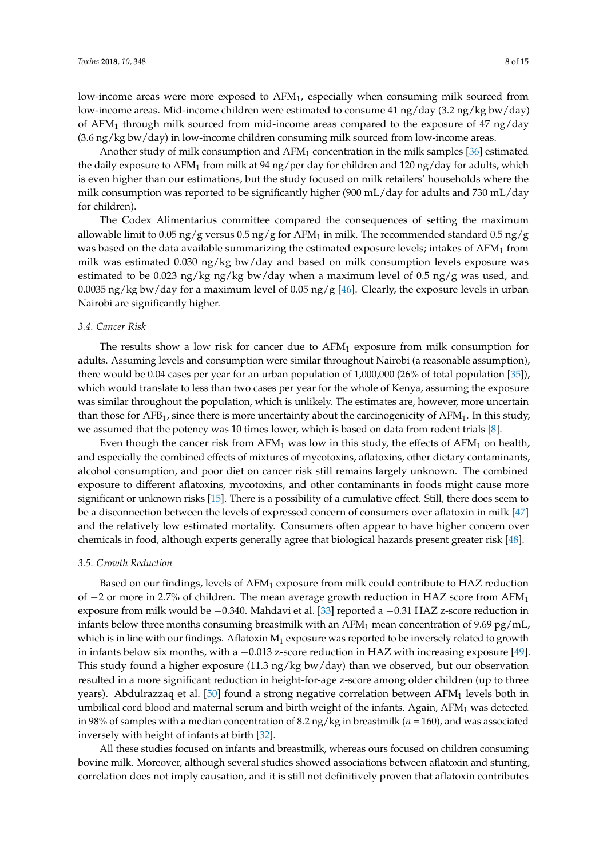low-income areas were more exposed to AFM1, especially when consuming milk sourced from low-income areas. Mid-income children were estimated to consume 41 ng/day (3.2 ng/kg bw/day) of AFM<sub>1</sub> through milk sourced from mid-income areas compared to the exposure of 47 ng/day (3.6 ng/kg bw/day) in low-income children consuming milk sourced from low-income areas.

Another study of milk consumption and AFM<sup>1</sup> concentration in the milk samples [\[36\]](#page-12-17) estimated the daily exposure to AFM<sub>1</sub> from milk at 94 ng/per day for children and 120 ng/day for adults, which is even higher than our estimations, but the study focused on milk retailers' households where the milk consumption was reported to be significantly higher (900 mL/day for adults and 730 mL/day for children).

The Codex Alimentarius committee compared the consequences of setting the maximum allowable limit to 0.05 ng/g versus 0.5 ng/g for AFM<sub>1</sub> in milk. The recommended standard 0.5 ng/g was based on the data available summarizing the estimated exposure levels; intakes of  $AFM<sub>1</sub>$  from milk was estimated 0.030 ng/kg bw/day and based on milk consumption levels exposure was estimated to be 0.023 ng/kg ng/kg bw/day when a maximum level of 0.5 ng/g was used, and 0.0035 ng/kg bw/day for a maximum level of 0.05 ng/g [\[46\]](#page-13-6). Clearly, the exposure levels in urban Nairobi are significantly higher.

### *3.4. Cancer Risk*

The results show a low risk for cancer due to  $AFM<sub>1</sub>$  exposure from milk consumption for adults. Assuming levels and consumption were similar throughout Nairobi (a reasonable assumption), there would be 0.04 cases per year for an urban population of 1,000,000 (26% of total population [\[35\]](#page-12-16)), which would translate to less than two cases per year for the whole of Kenya, assuming the exposure was similar throughout the population, which is unlikely. The estimates are, however, more uncertain than those for  $AFB_1$ , since there is more uncertainty about the carcinogenicity of  $AFM_1$ . In this study, we assumed that the potency was 10 times lower, which is based on data from rodent trials [\[8\]](#page-11-7).

Even though the cancer risk from  $AFM_1$  was low in this study, the effects of  $AFM_1$  on health, and especially the combined effects of mixtures of mycotoxins, aflatoxins, other dietary contaminants, alcohol consumption, and poor diet on cancer risk still remains largely unknown. The combined exposure to different aflatoxins, mycotoxins, and other contaminants in foods might cause more significant or unknown risks [\[15\]](#page-11-14). There is a possibility of a cumulative effect. Still, there does seem to be a disconnection between the levels of expressed concern of consumers over aflatoxin in milk [\[47\]](#page-13-7) and the relatively low estimated mortality. Consumers often appear to have higher concern over chemicals in food, although experts generally agree that biological hazards present greater risk [\[48\]](#page-13-8).

## *3.5. Growth Reduction*

Based on our findings, levels of  $AFM_1$  exposure from milk could contribute to HAZ reduction of −2 or more in 2.7% of children. The mean average growth reduction in HAZ score from AFM<sup>1</sup> exposure from milk would be −0.340. Mahdavi et al. [\[33\]](#page-12-14) reported a −0.31 HAZ z-score reduction in infants below three months consuming breastmilk with an  $AFM_1$  mean concentration of 9.69 pg/mL, which is in line with our findings. Aflatoxin  $M_1$  exposure was reported to be inversely related to growth in infants below six months, with a −0.013 z-score reduction in HAZ with increasing exposure [\[49\]](#page-13-9). This study found a higher exposure  $(11.3 \text{ ng/kg bw/day})$  than we observed, but our observation resulted in a more significant reduction in height-for-age z-score among older children (up to three years). Abdulrazzaq et al. [\[50\]](#page-13-10) found a strong negative correlation between  $AFM<sub>1</sub>$  levels both in umbilical cord blood and maternal serum and birth weight of the infants. Again, AFM<sub>1</sub> was detected in 98% of samples with a median concentration of 8.2 ng/kg in breastmilk (*n* = 160), and was associated inversely with height of infants at birth [\[32\]](#page-12-13).

All these studies focused on infants and breastmilk, whereas ours focused on children consuming bovine milk. Moreover, although several studies showed associations between aflatoxin and stunting, correlation does not imply causation, and it is still not definitively proven that aflatoxin contributes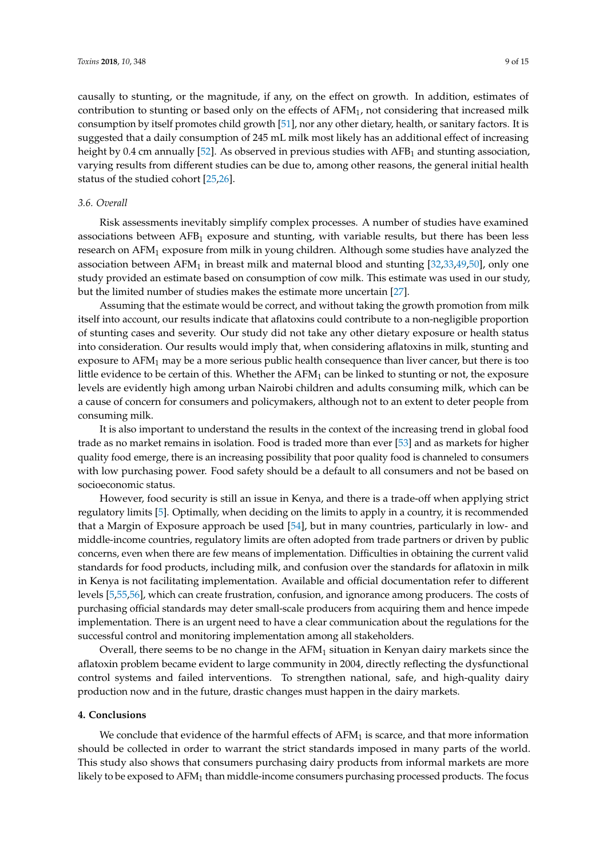causally to stunting, or the magnitude, if any, on the effect on growth. In addition, estimates of contribution to stunting or based only on the effects of  $AFM<sub>1</sub>$ , not considering that increased milk consumption by itself promotes child growth [\[51\]](#page-13-11), nor any other dietary, health, or sanitary factors. It is suggested that a daily consumption of 245 mL milk most likely has an additional effect of increasing height by 0.4 cm annually [\[52\]](#page-13-12). As observed in previous studies with AFB<sub>1</sub> and stunting association, varying results from different studies can be due to, among other reasons, the general initial health status of the studied cohort [\[25](#page-12-6)[,26\]](#page-12-7).

## *3.6. Overall*

Risk assessments inevitably simplify complex processes. A number of studies have examined associations between  $\text{AFB}_1$  exposure and stunting, with variable results, but there has been less research on AFM<sub>1</sub> exposure from milk in young children. Although some studies have analyzed the association between  $AFM_1$  in breast milk and maternal blood and stunting  $[32,33,49,50]$  $[32,33,49,50]$  $[32,33,49,50]$  $[32,33,49,50]$ , only one study provided an estimate based on consumption of cow milk. This estimate was used in our study, but the limited number of studies makes the estimate more uncertain [\[27\]](#page-12-11).

Assuming that the estimate would be correct, and without taking the growth promotion from milk itself into account, our results indicate that aflatoxins could contribute to a non-negligible proportion of stunting cases and severity. Our study did not take any other dietary exposure or health status into consideration. Our results would imply that, when considering aflatoxins in milk, stunting and exposure to  $AFM<sub>1</sub>$  may be a more serious public health consequence than liver cancer, but there is too little evidence to be certain of this. Whether the  $AFM<sub>1</sub>$  can be linked to stunting or not, the exposure levels are evidently high among urban Nairobi children and adults consuming milk, which can be a cause of concern for consumers and policymakers, although not to an extent to deter people from consuming milk.

It is also important to understand the results in the context of the increasing trend in global food trade as no market remains in isolation. Food is traded more than ever [\[53\]](#page-13-13) and as markets for higher quality food emerge, there is an increasing possibility that poor quality food is channeled to consumers with low purchasing power. Food safety should be a default to all consumers and not be based on socioeconomic status.

However, food security is still an issue in Kenya, and there is a trade-off when applying strict regulatory limits [\[5\]](#page-11-4). Optimally, when deciding on the limits to apply in a country, it is recommended that a Margin of Exposure approach be used [\[54\]](#page-13-14), but in many countries, particularly in low- and middle-income countries, regulatory limits are often adopted from trade partners or driven by public concerns, even when there are few means of implementation. Difficulties in obtaining the current valid standards for food products, including milk, and confusion over the standards for aflatoxin in milk in Kenya is not facilitating implementation. Available and official documentation refer to different levels [\[5,](#page-11-4)[55,](#page-13-15)[56\]](#page-13-16), which can create frustration, confusion, and ignorance among producers. The costs of purchasing official standards may deter small-scale producers from acquiring them and hence impede implementation. There is an urgent need to have a clear communication about the regulations for the successful control and monitoring implementation among all stakeholders.

Overall, there seems to be no change in the  $AFM<sub>1</sub>$  situation in Kenyan dairy markets since the aflatoxin problem became evident to large community in 2004, directly reflecting the dysfunctional control systems and failed interventions. To strengthen national, safe, and high-quality dairy production now and in the future, drastic changes must happen in the dairy markets.

#### **4. Conclusions**

We conclude that evidence of the harmful effects of  $AFM<sub>1</sub>$  is scarce, and that more information should be collected in order to warrant the strict standards imposed in many parts of the world. This study also shows that consumers purchasing dairy products from informal markets are more likely to be exposed to AFM<sub>1</sub> than middle-income consumers purchasing processed products. The focus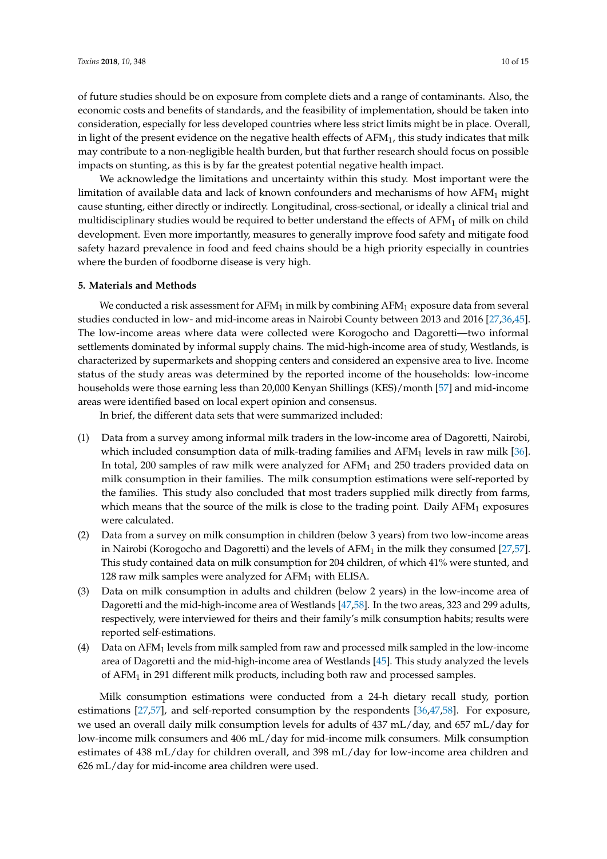of future studies should be on exposure from complete diets and a range of contaminants. Also, the economic costs and benefits of standards, and the feasibility of implementation, should be taken into consideration, especially for less developed countries where less strict limits might be in place. Overall, in light of the present evidence on the negative health effects of  $AFM<sub>1</sub>$ , this study indicates that milk may contribute to a non-negligible health burden, but that further research should focus on possible impacts on stunting, as this is by far the greatest potential negative health impact.

We acknowledge the limitations and uncertainty within this study. Most important were the limitation of available data and lack of known confounders and mechanisms of how  $AHM<sub>1</sub>$  might cause stunting, either directly or indirectly. Longitudinal, cross-sectional, or ideally a clinical trial and multidisciplinary studies would be required to better understand the effects of  $AFM<sub>1</sub>$  of milk on child development. Even more importantly, measures to generally improve food safety and mitigate food safety hazard prevalence in food and feed chains should be a high priority especially in countries where the burden of foodborne disease is very high.

## **5. Materials and Methods**

We conducted a risk assessment for  $AFM_1$  in milk by combining  $AFM_1$  exposure data from several studies conducted in low- and mid-income areas in Nairobi County between 2013 and 2016 [\[27](#page-12-11)[,36](#page-12-17)[,45\]](#page-13-5). The low-income areas where data were collected were Korogocho and Dagoretti—two informal settlements dominated by informal supply chains. The mid-high-income area of study, Westlands, is characterized by supermarkets and shopping centers and considered an expensive area to live. Income status of the study areas was determined by the reported income of the households: low-income households were those earning less than 20,000 Kenyan Shillings (KES)/month [\[57\]](#page-13-17) and mid-income areas were identified based on local expert opinion and consensus.

In brief, the different data sets that were summarized included:

- (1) Data from a survey among informal milk traders in the low-income area of Dagoretti, Nairobi, which included consumption data of milk-trading families and  $AFM<sub>1</sub>$  levels in raw milk [\[36\]](#page-12-17). In total, 200 samples of raw milk were analyzed for  $AFM<sub>1</sub>$  and 250 traders provided data on milk consumption in their families. The milk consumption estimations were self-reported by the families. This study also concluded that most traders supplied milk directly from farms, which means that the source of the milk is close to the trading point. Daily  $AFM<sub>1</sub>$  exposures were calculated.
- (2) Data from a survey on milk consumption in children (below 3 years) from two low-income areas in Nairobi (Korogocho and Dagoretti) and the levels of  $AFM<sub>1</sub>$  in the milk they consumed [\[27](#page-12-11)[,57\]](#page-13-17). This study contained data on milk consumption for 204 children, of which 41% were stunted, and 128 raw milk samples were analyzed for  $AFM<sub>1</sub>$  with ELISA.
- (3) Data on milk consumption in adults and children (below 2 years) in the low-income area of Dagoretti and the mid-high-income area of Westlands [\[47](#page-13-7)[,58\]](#page-14-0). In the two areas, 323 and 299 adults, respectively, were interviewed for theirs and their family's milk consumption habits; results were reported self-estimations.
- (4) Data on  $AFM<sub>1</sub>$  levels from milk sampled from raw and processed milk sampled in the low-income area of Dagoretti and the mid-high-income area of Westlands [\[45\]](#page-13-5). This study analyzed the levels of  $AFM<sub>1</sub>$  in 291 different milk products, including both raw and processed samples.

Milk consumption estimations were conducted from a 24-h dietary recall study, portion estimations [\[27](#page-12-11)[,57\]](#page-13-17), and self-reported consumption by the respondents [\[36](#page-12-17)[,47](#page-13-7)[,58\]](#page-14-0). For exposure, we used an overall daily milk consumption levels for adults of 437 mL/day, and 657 mL/day for low-income milk consumers and 406 mL/day for mid-income milk consumers. Milk consumption estimates of 438 mL/day for children overall, and 398 mL/day for low-income area children and 626 mL/day for mid-income area children were used.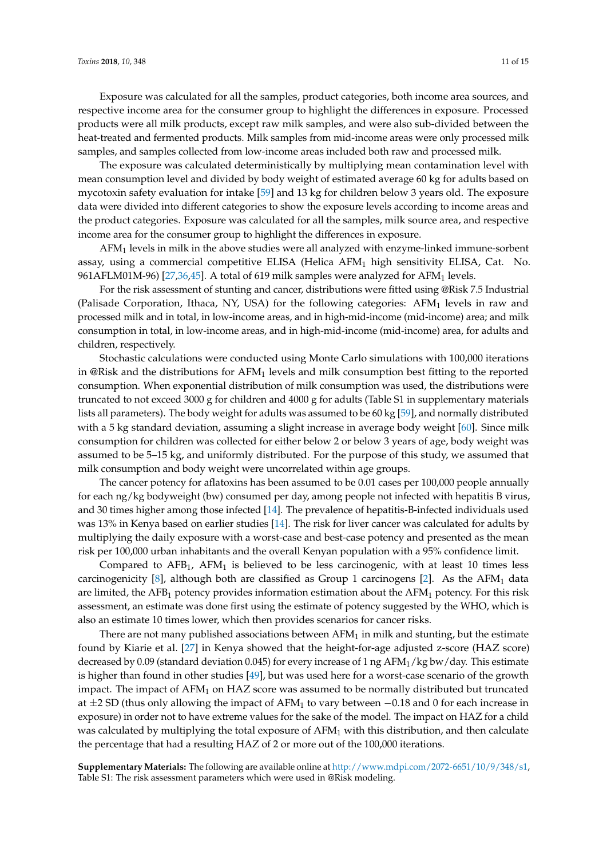Exposure was calculated for all the samples, product categories, both income area sources, and respective income area for the consumer group to highlight the differences in exposure. Processed products were all milk products, except raw milk samples, and were also sub-divided between the heat-treated and fermented products. Milk samples from mid-income areas were only processed milk samples, and samples collected from low-income areas included both raw and processed milk.

The exposure was calculated deterministically by multiplying mean contamination level with mean consumption level and divided by body weight of estimated average 60 kg for adults based on mycotoxin safety evaluation for intake [\[59\]](#page-14-1) and 13 kg for children below 3 years old. The exposure data were divided into different categories to show the exposure levels according to income areas and the product categories. Exposure was calculated for all the samples, milk source area, and respective income area for the consumer group to highlight the differences in exposure.

 $AFM<sub>1</sub>$  levels in milk in the above studies were all analyzed with enzyme-linked immune-sorbent assay, using a commercial competitive ELISA (Helica AFM<sub>1</sub> high sensitivity ELISA, Cat. No. 961AFLM01M-96) [\[27,](#page-12-11)[36](#page-12-17)[,45\]](#page-13-5). A total of 619 milk samples were analyzed for AFM<sup>1</sup> levels.

For the risk assessment of stunting and cancer, distributions were fitted using @Risk 7.5 Industrial (Palisade Corporation, Ithaca, NY, USA) for the following categories:  $AFM<sub>1</sub>$  levels in raw and processed milk and in total, in low-income areas, and in high-mid-income (mid-income) area; and milk consumption in total, in low-income areas, and in high-mid-income (mid-income) area, for adults and children, respectively.

Stochastic calculations were conducted using Monte Carlo simulations with 100,000 iterations in @Risk and the distributions for  $AFM<sub>1</sub>$  levels and milk consumption best fitting to the reported consumption. When exponential distribution of milk consumption was used, the distributions were truncated to not exceed 3000 g for children and 4000 g for adults (Table S1 in supplementary materials lists all parameters). The body weight for adults was assumed to be 60 kg [\[59\]](#page-14-1), and normally distributed with a 5 kg standard deviation, assuming a slight increase in average body weight [\[60\]](#page-14-2). Since milk consumption for children was collected for either below 2 or below 3 years of age, body weight was assumed to be 5–15 kg, and uniformly distributed. For the purpose of this study, we assumed that milk consumption and body weight were uncorrelated within age groups.

The cancer potency for aflatoxins has been assumed to be 0.01 cases per 100,000 people annually for each ng/kg bodyweight (bw) consumed per day, among people not infected with hepatitis B virus, and 30 times higher among those infected [\[14\]](#page-11-13). The prevalence of hepatitis-B-infected individuals used was 13% in Kenya based on earlier studies [\[14\]](#page-11-13). The risk for liver cancer was calculated for adults by multiplying the daily exposure with a worst-case and best-case potency and presented as the mean risk per 100,000 urban inhabitants and the overall Kenyan population with a 95% confidence limit.

Compared to  $AFB<sub>1</sub>$ ,  $AFM<sub>1</sub>$  is believed to be less carcinogenic, with at least 10 times less carcinogenicity [\[8\]](#page-11-7), although both are classified as Group 1 carcinogens [\[2\]](#page-11-1). As the  $AFM<sub>1</sub>$  data are limited, the AFB<sub>1</sub> potency provides information estimation about the AFM<sub>1</sub> potency. For this risk assessment, an estimate was done first using the estimate of potency suggested by the WHO, which is also an estimate 10 times lower, which then provides scenarios for cancer risks.

There are not many published associations between  $AFM<sub>1</sub>$  in milk and stunting, but the estimate found by Kiarie et al. [\[27\]](#page-12-11) in Kenya showed that the height-for-age adjusted z-score (HAZ score) decreased by 0.09 (standard deviation 0.045) for every increase of 1 ng AFM1/kg bw/day. This estimate is higher than found in other studies [\[49\]](#page-13-9), but was used here for a worst-case scenario of the growth impact. The impact of  $AFM<sub>1</sub>$  on  $HAZ$  score was assumed to be normally distributed but truncated at  $\pm$ 2 SD (thus only allowing the impact of AFM<sub>1</sub> to vary between  $-0.18$  and 0 for each increase in exposure) in order not to have extreme values for the sake of the model. The impact on HAZ for a child was calculated by multiplying the total exposure of AFM<sub>1</sub> with this distribution, and then calculate the percentage that had a resulting HAZ of 2 or more out of the 100,000 iterations.

**Supplementary Materials:** The following are available online at [http://www.mdpi.com/2072-6651/10/9/348/s1,](http://www.mdpi.com/2072-6651/10/9/348/s1) Table S1: The risk assessment parameters which were used in @Risk modeling.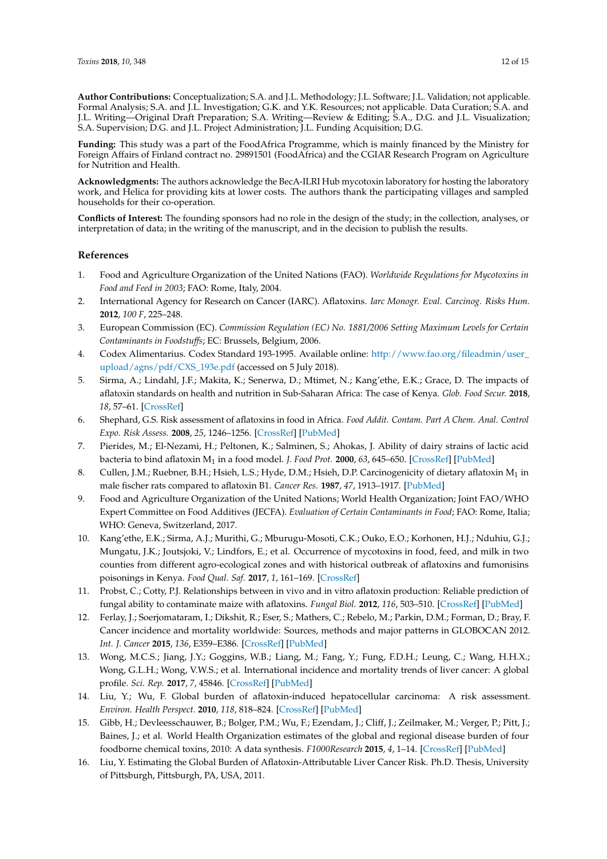**Author Contributions:** Conceptualization; S.A. and J.L. Methodology; J.L. Software; J.L. Validation; not applicable. Formal Analysis; S.A. and J.L. Investigation; G.K. and Y.K. Resources; not applicable. Data Curation; S.A. and J.L. Writing—Original Draft Preparation; S.A. Writing—Review & Editing; S.A., D.G. and J.L. Visualization; S.A. Supervision; D.G. and J.L. Project Administration; J.L. Funding Acquisition; D.G.

**Funding:** This study was a part of the FoodAfrica Programme, which is mainly financed by the Ministry for Foreign Affairs of Finland contract no. 29891501 (FoodAfrica) and the CGIAR Research Program on Agriculture for Nutrition and Health.

**Acknowledgments:** The authors acknowledge the BecA-ILRI Hub mycotoxin laboratory for hosting the laboratory work, and Helica for providing kits at lower costs. The authors thank the participating villages and sampled households for their co-operation.

**Conflicts of Interest:** The founding sponsors had no role in the design of the study; in the collection, analyses, or interpretation of data; in the writing of the manuscript, and in the decision to publish the results.

## **References**

- <span id="page-11-0"></span>1. Food and Agriculture Organization of the United Nations (FAO). *Worldwide Regulations for Mycotoxins in Food and Feed in 2003*; FAO: Rome, Italy, 2004.
- <span id="page-11-1"></span>2. International Agency for Research on Cancer (IARC). Aflatoxins. *Iarc Monogr. Eval. Carcinog. Risks Hum.* **2012**, *100 F*, 225–248.
- <span id="page-11-2"></span>3. European Commission (EC). *Commission Regulation (EC) No. 1881/2006 Setting Maximum Levels for Certain Contaminants in Foodstuffs*; EC: Brussels, Belgium, 2006.
- <span id="page-11-3"></span>4. Codex Alimentarius. Codex Standard 193-1995. Available online: [http://www.fao.org/fileadmin/user\\_](http://www.fao.org/fileadmin/user_upload/agns/pdf/CXS_193e.pdf) [upload/agns/pdf/CXS\\_193e.pdf](http://www.fao.org/fileadmin/user_upload/agns/pdf/CXS_193e.pdf) (accessed on 5 July 2018).
- <span id="page-11-4"></span>5. Sirma, A.; Lindahl, J.F.; Makita, K.; Senerwa, D.; Mtimet, N.; Kang'ethe, E.K.; Grace, D. The impacts of aflatoxin standards on health and nutrition in Sub-Saharan Africa: The case of Kenya. *Glob. Food Secur.* **2018**, *18*, 57–61. [\[CrossRef\]](http://dx.doi.org/10.1016/j.gfs.2018.08.001)
- <span id="page-11-5"></span>6. Shephard, G.S. Risk assessment of aflatoxins in food in Africa. *Food Addit. Contam. Part A Chem. Anal. Control Expo. Risk Assess.* **2008**, *25*, 1246–1256. [\[CrossRef\]](http://dx.doi.org/10.1080/02652030802036222) [\[PubMed\]](http://www.ncbi.nlm.nih.gov/pubmed/18608489)
- <span id="page-11-6"></span>7. Pierides, M.; El-Nezami, H.; Peltonen, K.; Salminen, S.; Ahokas, J. Ability of dairy strains of lactic acid bacteria to bind aflatoxin M<sup>1</sup> in a food model. *J. Food Prot.* **2000**, *63*, 645–650. [\[CrossRef\]](http://dx.doi.org/10.4315/0362-028X-63.5.645) [\[PubMed\]](http://www.ncbi.nlm.nih.gov/pubmed/10826723)
- <span id="page-11-7"></span>8. Cullen, J.M.; Ruebner, B.H.; Hsieh, L.S.; Hyde, D.M.; Hsieh, D.P. Carcinogenicity of dietary aflatoxin  $M_1$  in male fischer rats compared to aflatoxin B1. *Cancer Res.* **1987**, *47*, 1913–1917. [\[PubMed\]](http://www.ncbi.nlm.nih.gov/pubmed/3102052)
- <span id="page-11-8"></span>9. Food and Agriculture Organization of the United Nations; World Health Organization; Joint FAO/WHO Expert Committee on Food Additives (JECFA). *Evaluation of Certain Contaminants in Food*; FAO: Rome, Italia; WHO: Geneva, Switzerland, 2017.
- <span id="page-11-9"></span>10. Kang'ethe, E.K.; Sirma, A.J.; Murithi, G.; Mburugu-Mosoti, C.K.; Ouko, E.O.; Korhonen, H.J.; Nduhiu, G.J.; Mungatu, J.K.; Joutsjoki, V.; Lindfors, E.; et al. Occurrence of mycotoxins in food, feed, and milk in two counties from different agro-ecological zones and with historical outbreak of aflatoxins and fumonisins poisonings in Kenya. *Food Qual. Saf.* **2017**, *1*, 161–169. [\[CrossRef\]](http://dx.doi.org/10.1093/fqsafe/fyx018)
- <span id="page-11-10"></span>11. Probst, C.; Cotty, P.J. Relationships between in vivo and in vitro aflatoxin production: Reliable prediction of fungal ability to contaminate maize with aflatoxins. *Fungal Biol.* **2012**, *116*, 503–510. [\[CrossRef\]](http://dx.doi.org/10.1016/j.funbio.2012.02.001) [\[PubMed\]](http://www.ncbi.nlm.nih.gov/pubmed/22483048)
- <span id="page-11-11"></span>12. Ferlay, J.; Soerjomataram, I.; Dikshit, R.; Eser, S.; Mathers, C.; Rebelo, M.; Parkin, D.M.; Forman, D.; Bray, F. Cancer incidence and mortality worldwide: Sources, methods and major patterns in GLOBOCAN 2012. *Int. J. Cancer* **2015**, *136*, E359–E386. [\[CrossRef\]](http://dx.doi.org/10.1002/ijc.29210) [\[PubMed\]](http://www.ncbi.nlm.nih.gov/pubmed/25220842)
- <span id="page-11-12"></span>13. Wong, M.C.S.; Jiang, J.Y.; Goggins, W.B.; Liang, M.; Fang, Y.; Fung, F.D.H.; Leung, C.; Wang, H.H.X.; Wong, G.L.H.; Wong, V.W.S.; et al. International incidence and mortality trends of liver cancer: A global profile. *Sci. Rep.* **2017**, *7*, 45846. [\[CrossRef\]](http://dx.doi.org/10.1038/srep45846) [\[PubMed\]](http://www.ncbi.nlm.nih.gov/pubmed/28361988)
- <span id="page-11-13"></span>14. Liu, Y.; Wu, F. Global burden of aflatoxin-induced hepatocellular carcinoma: A risk assessment. *Environ. Health Perspect.* **2010**, *118*, 818–824. [\[CrossRef\]](http://dx.doi.org/10.1289/ehp.0901388) [\[PubMed\]](http://www.ncbi.nlm.nih.gov/pubmed/20172840)
- <span id="page-11-14"></span>15. Gibb, H.; Devleesschauwer, B.; Bolger, P.M.; Wu, F.; Ezendam, J.; Cliff, J.; Zeilmaker, M.; Verger, P.; Pitt, J.; Baines, J.; et al. World Health Organization estimates of the global and regional disease burden of four foodborne chemical toxins, 2010: A data synthesis. *F1000Research* **2015**, *4*, 1–14. [\[CrossRef\]](http://dx.doi.org/10.12688/f1000research.7340.1) [\[PubMed\]](http://www.ncbi.nlm.nih.gov/pubmed/26918123)
- <span id="page-11-15"></span>16. Liu, Y. Estimating the Global Burden of Aflatoxin-Attributable Liver Cancer Risk. Ph.D. Thesis, University of Pittsburgh, Pittsburgh, PA, USA, 2011.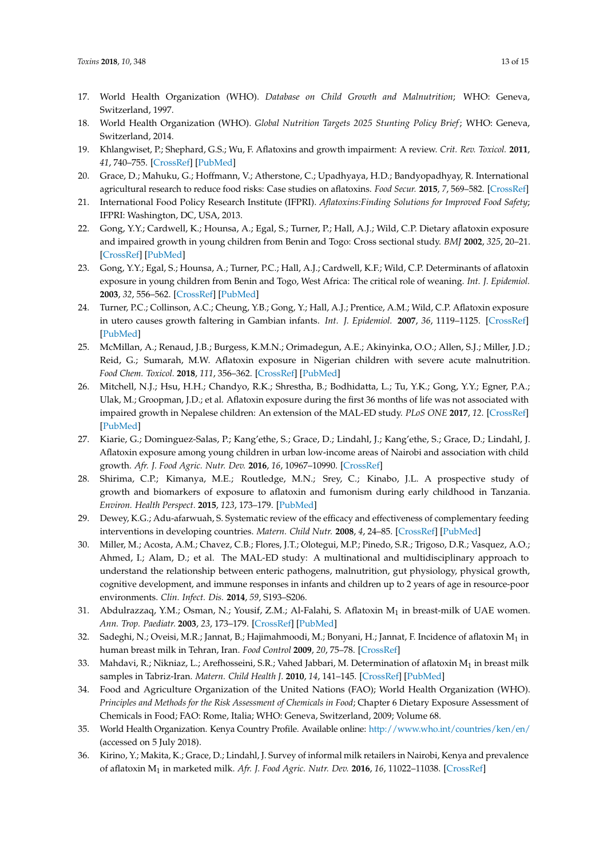- <span id="page-12-0"></span>17. World Health Organization (WHO). *Database on Child Growth and Malnutrition*; WHO: Geneva, Switzerland, 1997.
- <span id="page-12-1"></span>18. World Health Organization (WHO). *Global Nutrition Targets 2025 Stunting Policy Brief*; WHO: Geneva, Switzerland, 2014.
- <span id="page-12-2"></span>19. Khlangwiset, P.; Shephard, G.S.; Wu, F. Aflatoxins and growth impairment: A review. *Crit. Rev. Toxicol.* **2011**, *41*, 740–755. [\[CrossRef\]](http://dx.doi.org/10.3109/10408444.2011.575766) [\[PubMed\]](http://www.ncbi.nlm.nih.gov/pubmed/21711088)
- <span id="page-12-3"></span>20. Grace, D.; Mahuku, G.; Hoffmann, V.; Atherstone, C.; Upadhyaya, H.D.; Bandyopadhyay, R. International agricultural research to reduce food risks: Case studies on aflatoxins. *Food Secur.* **2015**, *7*, 569–582. [\[CrossRef\]](http://dx.doi.org/10.1007/s12571-015-0469-2)
- <span id="page-12-4"></span>21. International Food Policy Research Institute (IFPRI). *Aflatoxins:Finding Solutions for Improved Food Safety*; IFPRI: Washington, DC, USA, 2013.
- <span id="page-12-5"></span>22. Gong, Y.Y.; Cardwell, K.; Hounsa, A.; Egal, S.; Turner, P.; Hall, A.J.; Wild, C.P. Dietary aflatoxin exposure and impaired growth in young children from Benin and Togo: Cross sectional study. *BMJ* **2002**, *325*, 20–21. [\[CrossRef\]](http://dx.doi.org/10.1136/bmj.325.7354.20) [\[PubMed\]](http://www.ncbi.nlm.nih.gov/pubmed/12098724)
- 23. Gong, Y.Y.; Egal, S.; Hounsa, A.; Turner, P.C.; Hall, A.J.; Cardwell, K.F.; Wild, C.P. Determinants of aflatoxin exposure in young children from Benin and Togo, West Africa: The critical role of weaning. *Int. J. Epidemiol.* **2003**, *32*, 556–562. [\[CrossRef\]](http://dx.doi.org/10.1093/ije/dyg109) [\[PubMed\]](http://www.ncbi.nlm.nih.gov/pubmed/12913029)
- 24. Turner, P.C.; Collinson, A.C.; Cheung, Y.B.; Gong, Y.; Hall, A.J.; Prentice, A.M.; Wild, C.P. Aflatoxin exposure in utero causes growth faltering in Gambian infants. *Int. J. Epidemiol.* **2007**, *36*, 1119–1125. [\[CrossRef\]](http://dx.doi.org/10.1093/ije/dym122) [\[PubMed\]](http://www.ncbi.nlm.nih.gov/pubmed/17576701)
- <span id="page-12-6"></span>25. McMillan, A.; Renaud, J.B.; Burgess, K.M.N.; Orimadegun, A.E.; Akinyinka, O.O.; Allen, S.J.; Miller, J.D.; Reid, G.; Sumarah, M.W. Aflatoxin exposure in Nigerian children with severe acute malnutrition. *Food Chem. Toxicol.* **2018**, *111*, 356–362. [\[CrossRef\]](http://dx.doi.org/10.1016/j.fct.2017.11.030) [\[PubMed\]](http://www.ncbi.nlm.nih.gov/pubmed/29175577)
- <span id="page-12-7"></span>26. Mitchell, N.J.; Hsu, H.H.; Chandyo, R.K.; Shrestha, B.; Bodhidatta, L.; Tu, Y.K.; Gong, Y.Y.; Egner, P.A.; Ulak, M.; Groopman, J.D.; et al. Aflatoxin exposure during the first 36 months of life was not associated with impaired growth in Nepalese children: An extension of the MAL-ED study. *PLoS ONE* **2017**, *12*. [\[CrossRef\]](http://dx.doi.org/10.1371/journal.pone.0172124) [\[PubMed\]](http://www.ncbi.nlm.nih.gov/pubmed/28212415)
- <span id="page-12-11"></span>27. Kiarie, G.; Dominguez-Salas, P.; Kang'ethe, S.; Grace, D.; Lindahl, J.; Kang'ethe, S.; Grace, D.; Lindahl, J. Aflatoxin exposure among young children in urban low-income areas of Nairobi and association with child growth. *Afr. J. Food Agric. Nutr. Dev.* **2016**, *16*, 10967–10990. [\[CrossRef\]](http://dx.doi.org/10.18697/ajfand.75.ILRI02)
- <span id="page-12-8"></span>28. Shirima, C.P.; Kimanya, M.E.; Routledge, M.N.; Srey, C.; Kinabo, J.L. A prospective study of growth and biomarkers of exposure to aflatoxin and fumonism during early childhood in Tanzania. *Environ. Health Perspect.* **2015**, *123*, 173–179. [\[PubMed\]](http://www.ncbi.nlm.nih.gov/pubmed/25325363)
- <span id="page-12-9"></span>29. Dewey, K.G.; Adu-afarwuah, S. Systematic review of the efficacy and effectiveness of complementary feeding interventions in developing countries. *Matern. Child Nutr.* **2008**, *4*, 24–85. [\[CrossRef\]](http://dx.doi.org/10.1111/j.1740-8709.2007.00124.x) [\[PubMed\]](http://www.ncbi.nlm.nih.gov/pubmed/18289157)
- <span id="page-12-10"></span>30. Miller, M.; Acosta, A.M.; Chavez, C.B.; Flores, J.T.; Olotegui, M.P.; Pinedo, S.R.; Trigoso, D.R.; Vasquez, A.O.; Ahmed, I.; Alam, D.; et al. The MAL-ED study: A multinational and multidisciplinary approach to understand the relationship between enteric pathogens, malnutrition, gut physiology, physical growth, cognitive development, and immune responses in infants and children up to 2 years of age in resource-poor environments. *Clin. Infect. Dis.* **2014**, *59*, S193–S206.
- <span id="page-12-12"></span>31. Abdulrazzaq, Y.M.; Osman, N.; Yousif, Z.M.; Al-Falahi, S. Aflatoxin M<sub>1</sub> in breast-milk of UAE women. *Ann. Trop. Paediatr.* **2003**, *23*, 173–179. [\[CrossRef\]](http://dx.doi.org/10.1179/027249303322296484) [\[PubMed\]](http://www.ncbi.nlm.nih.gov/pubmed/14567832)
- <span id="page-12-13"></span>32. Sadeghi, N.; Oveisi, M.R.; Jannat, B.; Hajimahmoodi, M.; Bonyani, H.; Jannat, F. Incidence of aflatoxin M<sub>1</sub> in human breast milk in Tehran, Iran. *Food Control* **2009**, *20*, 75–78. [\[CrossRef\]](http://dx.doi.org/10.1016/j.foodcont.2008.02.005)
- <span id="page-12-14"></span>33. Mahdavi, R.; Nikniaz, L.; Arefhosseini, S.R.; Vahed Jabbari, M. Determination of aflatoxin M<sub>1</sub> in breast milk samples in Tabriz-Iran. *Matern. Child Health J.* **2010**, *14*, 141–145. [\[CrossRef\]](http://dx.doi.org/10.1007/s10995-008-0439-9) [\[PubMed\]](http://www.ncbi.nlm.nih.gov/pubmed/19093194)
- <span id="page-12-15"></span>34. Food and Agriculture Organization of the United Nations (FAO); World Health Organization (WHO). *Principles and Methods for the Risk Assessment of Chemicals in Food*; Chapter 6 Dietary Exposure Assessment of Chemicals in Food; FAO: Rome, Italia; WHO: Geneva, Switzerland, 2009; Volume 68.
- <span id="page-12-16"></span>35. World Health Organization. Kenya Country Profile. Available online: <http://www.who.int/countries/ken/en/> (accessed on 5 July 2018).
- <span id="page-12-17"></span>36. Kirino, Y.; Makita, K.; Grace, D.; Lindahl, J. Survey of informal milk retailers in Nairobi, Kenya and prevalence of aflatoxin M<sup>1</sup> in marketed milk. *Afr. J. Food Agric. Nutr. Dev.* **2016**, *16*, 11022–11038. [\[CrossRef\]](http://dx.doi.org/10.18697/ajfand.75.ILRI05)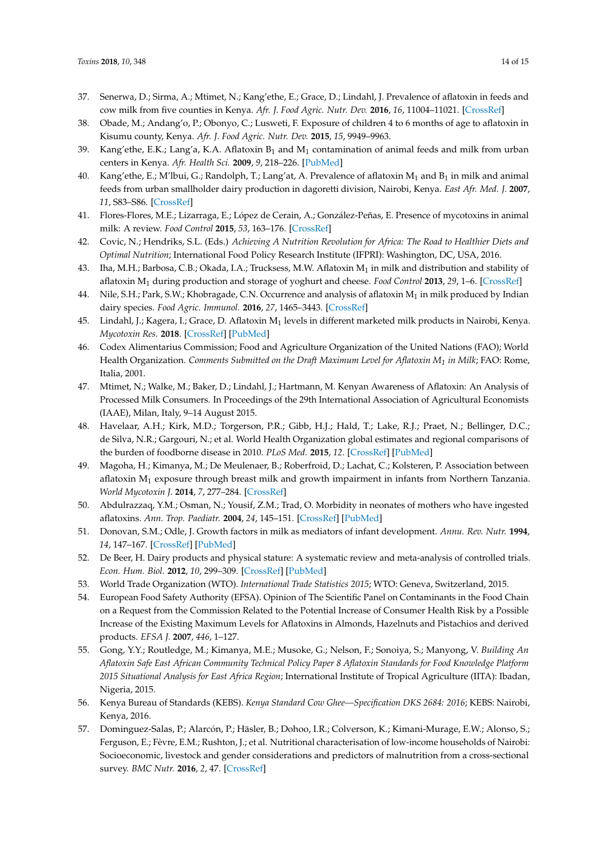- 37. Senerwa, D.; Sirma, A.; Mtimet, N.; Kang'ethe, E.; Grace, D.; Lindahl, J. Prevalence of aflatoxin in feeds and cow milk from five counties in Kenya. *Afr. J. Food Agric. Nutr. Dev.* **2016**, *16*, 11004–11021. [\[CrossRef\]](http://dx.doi.org/10.18697/ajfand.75.ILRI04)
- 38. Obade, M.; Andang'o, P.; Obonyo, C.; Lusweti, F. Exposure of children 4 to 6 months of age to aflatoxin in Kisumu county, Kenya. *Afr. J. Food Agric. Nutr. Dev.* **2015**, *15*, 9949–9963.
- 39. Kang'ethe, E.K.; Lang'a, K.A. Aflatoxin  $B_1$  and  $M_1$  contamination of animal feeds and milk from urban centers in Kenya. *Afr. Health Sci.* **2009**, *9*, 218–226. [\[PubMed\]](http://www.ncbi.nlm.nih.gov/pubmed/21503172)
- <span id="page-13-0"></span>40. Kang'ethe, E.; M'lbui, G.; Randolph, T.; Lang'at, A. Prevalence of aflatoxin  $M_1$  and  $B_1$  in milk and animal feeds from urban smallholder dairy production in dagoretti division, Nairobi, Kenya. *East Afr. Med. J.* **2007**, *11*, S83–S86. [\[CrossRef\]](http://dx.doi.org/10.4314/eamj.v84i11.9580)
- <span id="page-13-1"></span>41. Flores-Flores, M.E.; Lizarraga, E.; López de Cerain, A.; González-Peñas, E. Presence of mycotoxins in animal milk: A review. *Food Control* **2015**, *53*, 163–176. [\[CrossRef\]](http://dx.doi.org/10.1016/j.foodcont.2015.01.020)
- <span id="page-13-2"></span>42. Covic, N.; Hendriks, S.L. (Eds.) *Achieving A Nutrition Revolution for Africa: The Road to Healthier Diets and Optimal Nutrition*; International Food Policy Research Institute (IFPRI): Washington, DC, USA, 2016.
- <span id="page-13-3"></span>43. Iha, M.H.; Barbosa, C.B.; Okada, I.A.; Trucksess, M.W. Aflatoxin  $M_1$  in milk and distribution and stability of aflatoxin M<sup>1</sup> during production and storage of yoghurt and cheese. *Food Control* **2013**, *29*, 1–6. [\[CrossRef\]](http://dx.doi.org/10.1016/j.foodcont.2012.05.058)
- <span id="page-13-4"></span>44. Nile, S.H.; Park, S.W.; Khobragade, C.N. Occurrence and analysis of aflatoxin M1 in milk produced by Indian dairy species. *Food Agric. Immunol.* **2016**, *27*, 1465–3443. [\[CrossRef\]](http://dx.doi.org/10.1080/09540105.2015.1104655)
- <span id="page-13-5"></span>45. Lindahl, J.; Kagera, I.; Grace, D. Aflatoxin M $_1$  levels in different marketed milk products in Nairobi, Kenya. *Mycotoxin Res.* **2018**. [\[CrossRef\]](http://dx.doi.org/10.1007/s12550-018-0323-4) [\[PubMed\]](http://www.ncbi.nlm.nih.gov/pubmed/30109590)
- <span id="page-13-6"></span>46. Codex Alimentarius Commission; Food and Agriculture Organization of the United Nations (FAO); World Health Organization. *Comments Submitted on the Draft Maximum Level for Aflatoxin M<sup>1</sup> in Milk*; FAO: Rome, Italia, 2001.
- <span id="page-13-7"></span>47. Mtimet, N.; Walke, M.; Baker, D.; Lindahl, J.; Hartmann, M. Kenyan Awareness of Aflatoxin: An Analysis of Processed Milk Consumers. In Proceedings of the 29th International Association of Agricultural Economists (IAAE), Milan, Italy, 9–14 August 2015.
- <span id="page-13-8"></span>48. Havelaar, A.H.; Kirk, M.D.; Torgerson, P.R.; Gibb, H.J.; Hald, T.; Lake, R.J.; Praet, N.; Bellinger, D.C.; de Silva, N.R.; Gargouri, N.; et al. World Health Organization global estimates and regional comparisons of the burden of foodborne disease in 2010. *PLoS Med.* **2015**, *12*. [\[CrossRef\]](http://dx.doi.org/10.1371/journal.pmed.1001923) [\[PubMed\]](http://www.ncbi.nlm.nih.gov/pubmed/26633896)
- <span id="page-13-9"></span>49. Magoha, H.; Kimanya, M.; De Meulenaer, B.; Roberfroid, D.; Lachat, C.; Kolsteren, P. Association between aflatoxin  $M_1$  exposure through breast milk and growth impairment in infants from Northern Tanzania. *World Mycotoxin J.* **2014**, *7*, 277–284. [\[CrossRef\]](http://dx.doi.org/10.3920/WMJ2014.1705)
- <span id="page-13-10"></span>50. Abdulrazzaq, Y.M.; Osman, N.; Yousif, Z.M.; Trad, O. Morbidity in neonates of mothers who have ingested aflatoxins. *Ann. Trop. Paediatr.* **2004**, *24*, 145–151. [\[CrossRef\]](http://dx.doi.org/10.1179/027249304225013420) [\[PubMed\]](http://www.ncbi.nlm.nih.gov/pubmed/15186543)
- <span id="page-13-11"></span>51. Donovan, S.M.; Odle, J. Growth factors in milk as mediators of infant development. *Annu. Rev. Nutr.* **1994**, *14*, 147–167. [\[CrossRef\]](http://dx.doi.org/10.1146/annurev.nu.14.070194.001051) [\[PubMed\]](http://www.ncbi.nlm.nih.gov/pubmed/7946515)
- <span id="page-13-12"></span>52. De Beer, H. Dairy products and physical stature: A systematic review and meta-analysis of controlled trials. *Econ. Hum. Biol.* **2012**, *10*, 299–309. [\[CrossRef\]](http://dx.doi.org/10.1016/j.ehb.2011.08.003) [\[PubMed\]](http://www.ncbi.nlm.nih.gov/pubmed/21890437)
- <span id="page-13-13"></span>53. World Trade Organization (WTO). *International Trade Statistics 2015*; WTO: Geneva, Switzerland, 2015.
- <span id="page-13-14"></span>54. European Food Safety Authority (EFSA). Opinion of The Scientific Panel on Contaminants in the Food Chain on a Request from the Commission Related to the Potential Increase of Consumer Health Risk by a Possible Increase of the Existing Maximum Levels for Aflatoxins in Almonds, Hazelnuts and Pistachios and derived products. *EFSA J.* **2007**, *446*, 1–127.
- <span id="page-13-15"></span>55. Gong, Y.Y.; Routledge, M.; Kimanya, M.E.; Musoke, G.; Nelson, F.; Sonoiya, S.; Manyong, V. *Building An Aflatoxin Safe East African Community Technical Policy Paper 8 Aflatoxin Standards for Food Knowledge Platform 2015 Situational Analysis for East Africa Region*; International Institute of Tropical Agriculture (IITA): Ibadan, Nigeria, 2015.
- <span id="page-13-16"></span>56. Kenya Bureau of Standards (KEBS). *Kenya Standard Cow Ghee—Specification DKS 2684: 2016*; KEBS: Nairobi, Kenya, 2016.
- <span id="page-13-17"></span>57. Dominguez-Salas, P.; Alarcón, P.; Häsler, B.; Dohoo, I.R.; Colverson, K.; Kimani-Murage, E.W.; Alonso, S.; Ferguson, E.; Fèvre, E.M.; Rushton, J.; et al. Nutritional characterisation of low-income households of Nairobi: Socioeconomic, livestock and gender considerations and predictors of malnutrition from a cross-sectional survey. *BMC Nutr.* **2016**, *2*, 47. [\[CrossRef\]](http://dx.doi.org/10.1186/s40795-016-0086-2)